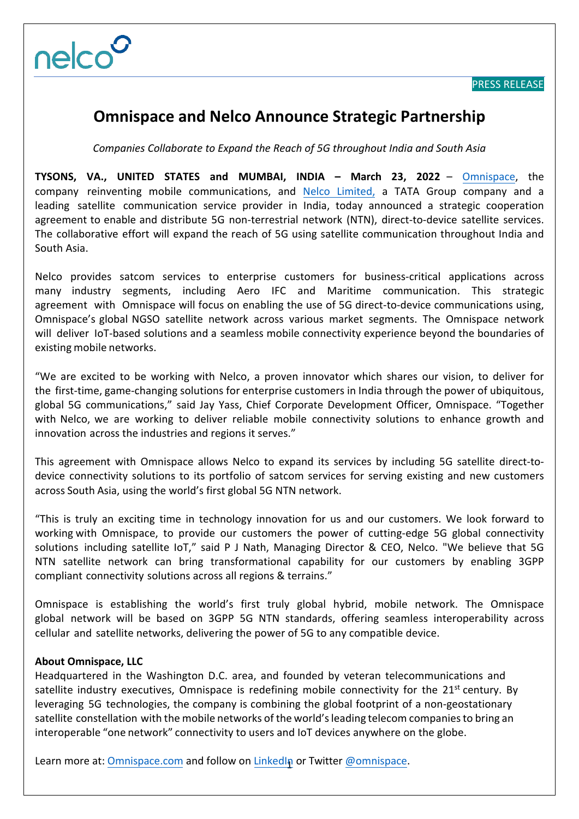

## **Omnispace and Nelco Announce Strategic Partnership**

*Companies Collaborate to Expand the Reach of 5G throughout India and South Asia* 

**TYSONS, VA., UNITED STATES and MUMBAI, INDIA – March 23, 2022** [– Om](http://www.omnispace.com/)nispace, the company reinventing mobile communi[cations, and Ne](https://www.nelco.in/)lco Limited, a TATA Group company and a leading satellite communication service provider in India, today announced a strategic cooperation agreement to enable and distribute 5G non-terrestrial network (NTN), direct-to-device satellite services. The collaborative effort will expand the reach of 5G using satellite communication throughout India and South Asia.

Nelco provides satcom services to enterprise customers for business-critical applications across many industry segments, including Aero IFC and Maritime communication. This strategic agreement with Omnispace will focus on enabling the use of 5G direct-to-device communications using, Omnispace's global NGSO satellite network across various market segments. The Omnispace network will deliver IoT-based solutions and a seamless mobile connectivity experience beyond the boundaries of existing mobile networks.

"We are excited to be working with Nelco, a proven innovator which shares our vision, to deliver for the first-time, game-changing solutions for enterprise customers in India through the power of ubiquitous, global 5G communications," said Jay Yass, Chief Corporate Development Officer, Omnispace. "Together with Nelco, we are working to deliver reliable mobile connectivity solutions to enhance growth and innovation across the industries and regions it serves."

This agreement with Omnispace allows Nelco to expand its services by including 5G satellite direct-todevice connectivity solutions to its portfolio of satcom services for serving existing and new customers across South Asia, using the world's first global 5G NTN network.

"This is truly an exciting time in technology innovation for us and our customers. We look forward to working with Omnispace, to provide our customers the power of cutting-edge 5G global connectivity solutions including satellite IoT," said P J Nath, Managing Director & CEO, Nelco. "We believe that 5G NTN satellite network can bring transformational capability for our customers by enabling 3GPP compliant connectivity solutions across all regions & terrains."

Omnispace is establishing the world's first truly global hybrid, mobile network. The Omnispace global network will be based on 3GPP 5G NTN standards, offering seamless interoperability across cellular and satellite networks, delivering the power of 5G to any compatible device.

## **About Omnispace, LLC**

Headquartered in the Washington D.C. area, and founded by veteran telecommunications and satellite industry executives, Omnispace is redefining mobile connectivity for the 21<sup>st</sup> century. By leveraging 5G technologies, the company is combining the global footprint of a non-geostationary satellite constellation with the mobile networks of the world's leading telecom companiesto bring an interoperable ["one network"](https://omnispace.com/) connectivity to [users and](https://www.linkedin.com/company/omnispace/about/) IoT devic[es anywhere on](http://twitter.com/omnispace) the globe.

Learn more at: <u>Omnispace.com</u> and follow on **LinkedIn** or Twitter **@omnispace**.